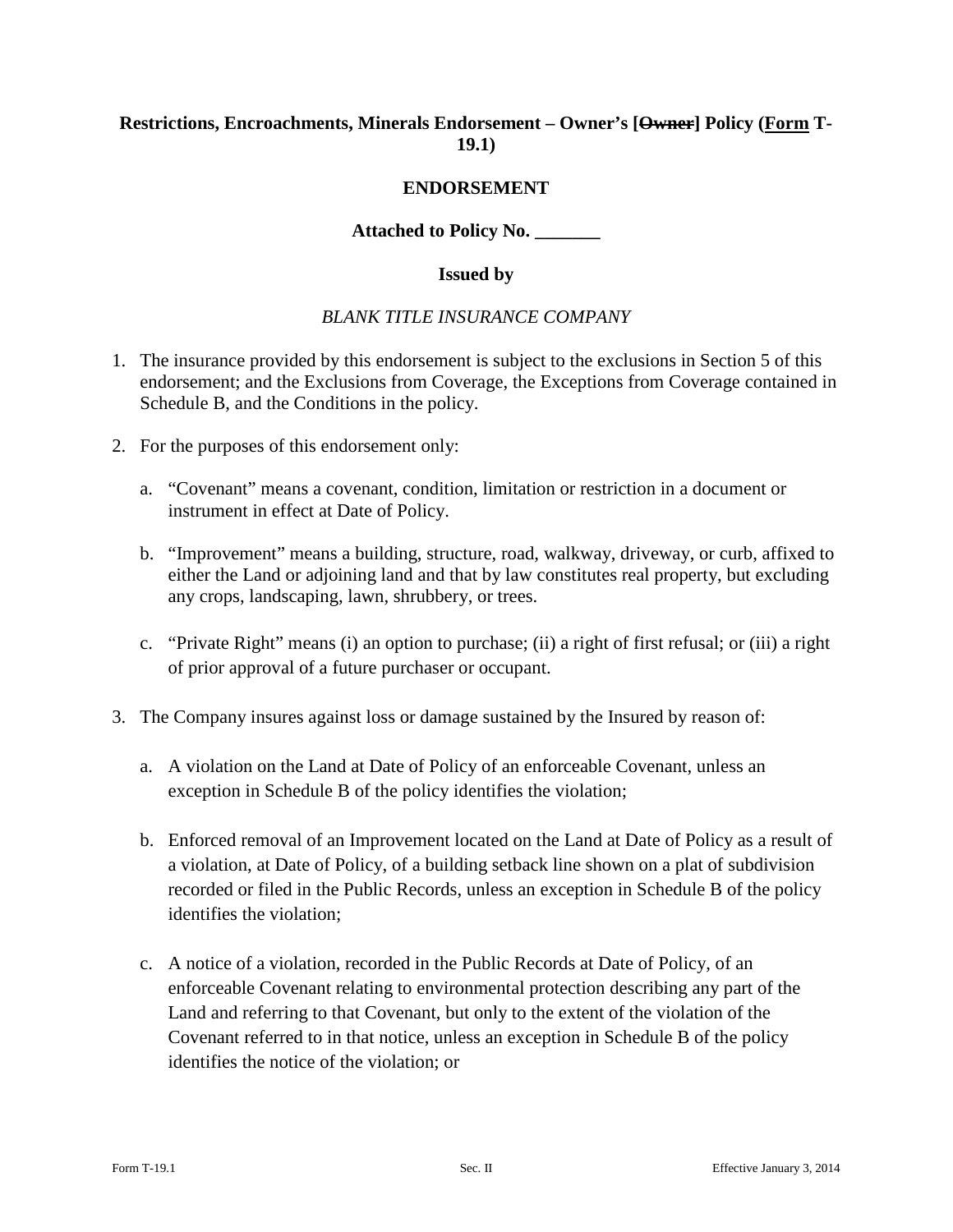## **Restrictions, Encroachments, Minerals Endorsement – Owner's [Owner] Policy (Form T-19.1)**

### **ENDORSEMENT**

**Attached to Policy No. \_\_\_\_\_\_\_**

#### **Issued by**

#### *BLANK TITLE INSURANCE COMPANY*

- 1. The insurance provided by this endorsement is subject to the exclusions in Section 5 of this endorsement; and the Exclusions from Coverage, the Exceptions from Coverage contained in Schedule B, and the Conditions in the policy.
- 2. For the purposes of this endorsement only:
	- a. "Covenant" means a covenant, condition, limitation or restriction in a document or instrument in effect at Date of Policy.
	- b. "Improvement" means a building, structure, road, walkway, driveway, or curb, affixed to either the Land or adjoining land and that by law constitutes real property, but excluding any crops, landscaping, lawn, shrubbery, or trees.
	- c. "Private Right" means (i) an option to purchase; (ii) a right of first refusal; or (iii) a right of prior approval of a future purchaser or occupant.
- 3. The Company insures against loss or damage sustained by the Insured by reason of:
	- a. A violation on the Land at Date of Policy of an enforceable Covenant, unless an exception in Schedule B of the policy identifies the violation;
	- b. Enforced removal of an Improvement located on the Land at Date of Policy as a result of a violation, at Date of Policy, of a building setback line shown on a plat of subdivision recorded or filed in the Public Records, unless an exception in Schedule B of the policy identifies the violation;
	- c. A notice of a violation, recorded in the Public Records at Date of Policy, of an enforceable Covenant relating to environmental protection describing any part of the Land and referring to that Covenant, but only to the extent of the violation of the Covenant referred to in that notice, unless an exception in Schedule B of the policy identifies the notice of the violation; or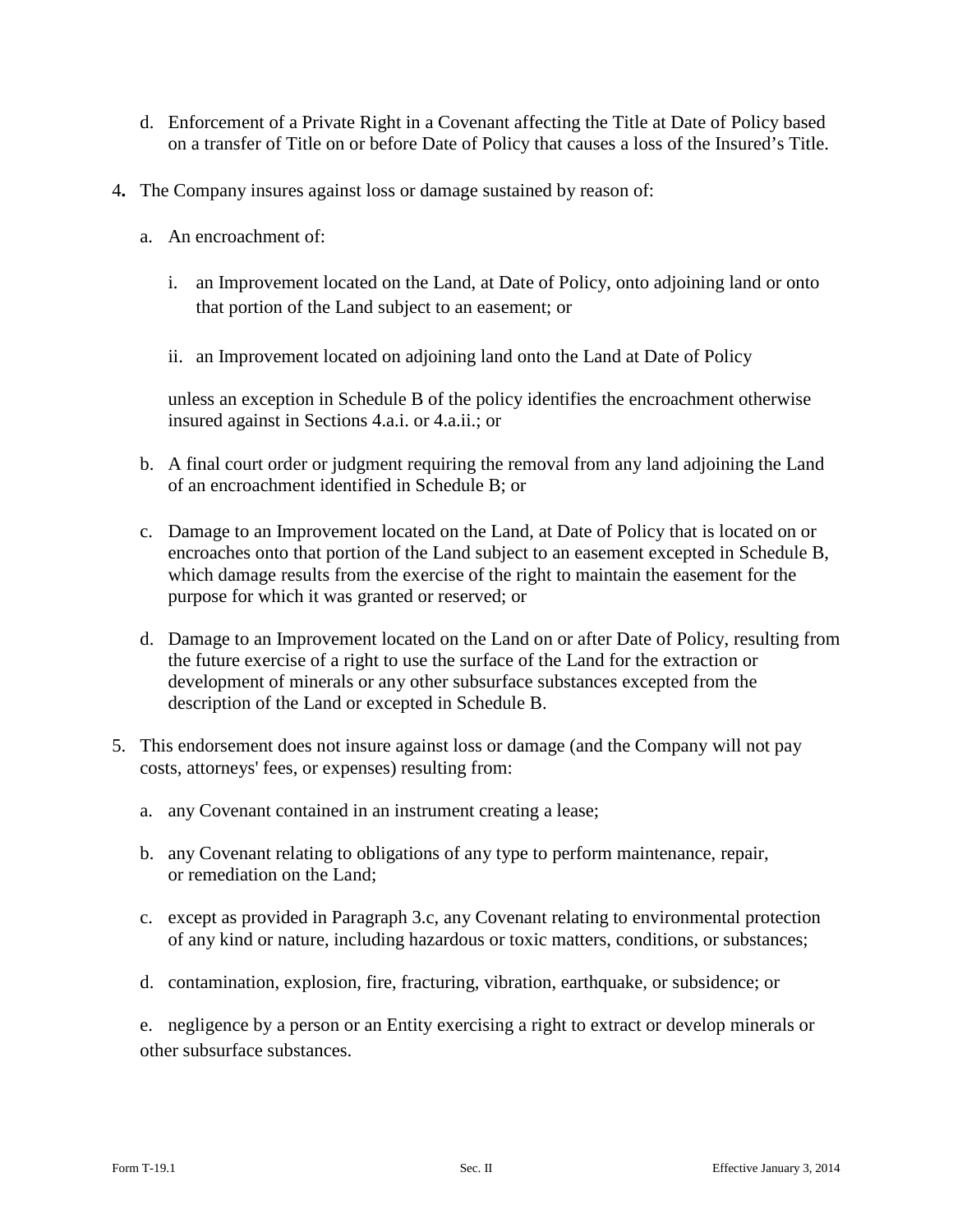- d. Enforcement of a Private Right in a Covenant affecting the Title at Date of Policy based on a transfer of Title on or before Date of Policy that causes a loss of the Insured's Title.
- 4**.** The Company insures against loss or damage sustained by reason of:
	- a. An encroachment of:
		- i. an Improvement located on the Land, at Date of Policy, onto adjoining land or onto that portion of the Land subject to an easement; or
		- ii. an Improvement located on adjoining land onto the Land at Date of Policy

unless an exception in Schedule B of the policy identifies the encroachment otherwise insured against in Sections 4.a.i. or 4.a.ii.; or

- b. A final court order or judgment requiring the removal from any land adjoining the Land of an encroachment identified in Schedule B; or
- c. Damage to an Improvement located on the Land, at Date of Policy that is located on or encroaches onto that portion of the Land subject to an easement excepted in Schedule B, which damage results from the exercise of the right to maintain the easement for the purpose for which it was granted or reserved; or
- d. Damage to an Improvement located on the Land on or after Date of Policy, resulting from the future exercise of a right to use the surface of the Land for the extraction or development of minerals or any other subsurface substances excepted from the description of the Land or excepted in Schedule B.
- 5. This endorsement does not insure against loss or damage (and the Company will not pay costs, attorneys' fees, or expenses) resulting from:
	- a. any Covenant contained in an instrument creating a lease;
	- b. any Covenant relating to obligations of any type to perform maintenance, repair, or remediation on the Land;
	- c. except as provided in Paragraph 3.c, any Covenant relating to environmental protection of any kind or nature, including hazardous or toxic matters, conditions, or substances;
	- d. contamination, explosion, fire, fracturing, vibration, earthquake, or subsidence; or

e. negligence by a person or an Entity exercising a right to extract or develop minerals or other subsurface substances.